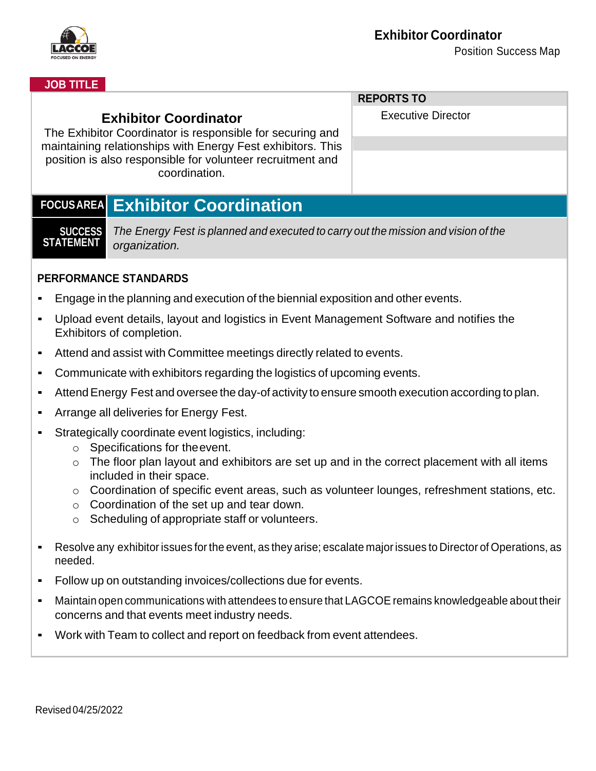

#### **JOB TITLE**

| <b>Exhibitor Coordinator</b><br>The Exhibitor Coordinator is responsible for securing and<br>maintaining relationships with Energy Fest exhibitors. This<br>position is also responsible for volunteer recruitment and<br>coordination. |                                                                                                                         | <b>REPORTS TO</b>         |
|-----------------------------------------------------------------------------------------------------------------------------------------------------------------------------------------------------------------------------------------|-------------------------------------------------------------------------------------------------------------------------|---------------------------|
|                                                                                                                                                                                                                                         |                                                                                                                         | <b>Executive Director</b> |
|                                                                                                                                                                                                                                         |                                                                                                                         |                           |
|                                                                                                                                                                                                                                         |                                                                                                                         |                           |
| <b>Exhibitor Coordination</b><br><b>FOCUSAREA</b>                                                                                                                                                                                       |                                                                                                                         |                           |
| <b>SUCCESS</b><br><b>STATEMENT</b>                                                                                                                                                                                                      | The Energy Fest is planned and executed to carry out the mission and vision of the<br>organization.                     |                           |
| <b>PERFORMANCE STANDARDS</b>                                                                                                                                                                                                            |                                                                                                                         |                           |
| Engage in the planning and execution of the biennial exposition and other events.                                                                                                                                                       |                                                                                                                         |                           |
| Upload event details, layout and logistics in Event Management Software and notifies the<br>$\blacksquare$<br>Exhibitors of completion.                                                                                                 |                                                                                                                         |                           |
| Attend and assist with Committee meetings directly related to events.<br>$\blacksquare$                                                                                                                                                 |                                                                                                                         |                           |
| Communicate with exhibitors regarding the logistics of upcoming events.<br>$\blacksquare$                                                                                                                                               |                                                                                                                         |                           |
| Attend Energy Fest and oversee the day-of activity to ensure smooth execution according to plan.<br>$\blacksquare$                                                                                                                      |                                                                                                                         |                           |
| Arrange all deliveries for Energy Fest.<br>$\blacksquare$                                                                                                                                                                               |                                                                                                                         |                           |
| Strategically coordinate event logistics, including:                                                                                                                                                                                    |                                                                                                                         |                           |
| Specifications for the event.<br>$\circ$                                                                                                                                                                                                |                                                                                                                         |                           |
| $\circ$                                                                                                                                                                                                                                 | The floor plan layout and exhibitors are set up and in the correct placement with all items<br>included in their space. |                           |
|                                                                                                                                                                                                                                         | Coordination of apositio quant groop, quab as volunteer lounges, refreshment stations, ato                              |                           |

- $\circ$  Coordination of specific event areas, such as volunteer lounges, refreshment stations, etc.
- o Coordination of the set up and tear down.
- o Scheduling of appropriate staff or volunteers.
- Resolve any exhibitor issues forthe event, as they arise; escalate majorissues to Director of Operations, as needed.
- Follow up on outstanding invoices/collections due for events.
- **EXECT** Maintain open communications with attendees to ensure that LAGCOE remains knowledgeable about their concerns and that events meet industry needs.
- Work with Team to collect and report on feedback from event attendees.